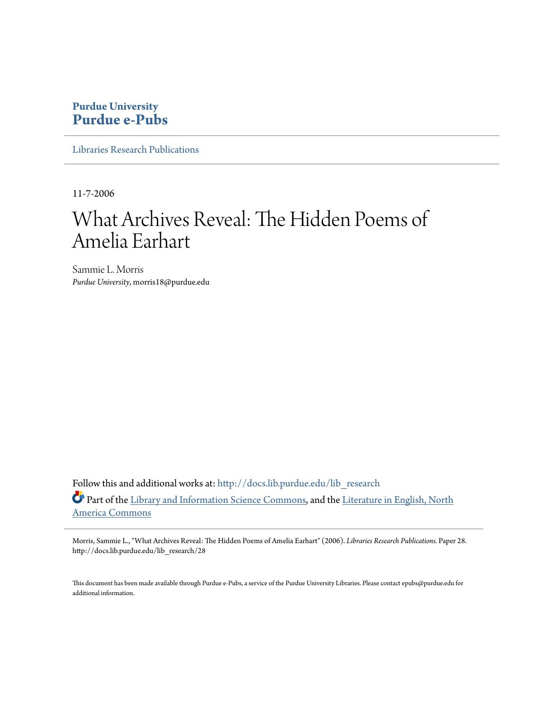## **Purdue University [Purdue e-Pubs](http://docs.lib.purdue.edu?utm_source=docs.lib.purdue.edu%2Flib_research%2F28&utm_medium=PDF&utm_campaign=PDFCoverPages)**

[Libraries Research Publications](http://docs.lib.purdue.edu/lib_research?utm_source=docs.lib.purdue.edu%2Flib_research%2F28&utm_medium=PDF&utm_campaign=PDFCoverPages)

11-7-2006

# What Archives Reveal: The Hidden Poems of Amelia Earhart

Sammie L. Morris *Purdue University*, morris18@purdue.edu

Follow this and additional works at: [http://docs.lib.purdue.edu/lib\\_research](http://docs.lib.purdue.edu/lib_research?utm_source=docs.lib.purdue.edu%2Flib_research%2F28&utm_medium=PDF&utm_campaign=PDFCoverPages) Part of the [Library and Information Science Commons,](http://network.bepress.com/hgg/discipline/1018?utm_source=docs.lib.purdue.edu%2Flib_research%2F28&utm_medium=PDF&utm_campaign=PDFCoverPages) and the [Literature in English, North](http://network.bepress.com/hgg/discipline/458?utm_source=docs.lib.purdue.edu%2Flib_research%2F28&utm_medium=PDF&utm_campaign=PDFCoverPages) [America Commons](http://network.bepress.com/hgg/discipline/458?utm_source=docs.lib.purdue.edu%2Flib_research%2F28&utm_medium=PDF&utm_campaign=PDFCoverPages)

Morris, Sammie L., "What Archives Reveal: The Hidden Poems of Amelia Earhart" (2006). *Libraries Research Publications.* Paper 28. http://docs.lib.purdue.edu/lib\_research/28

This document has been made available through Purdue e-Pubs, a service of the Purdue University Libraries. Please contact epubs@purdue.edu for additional information.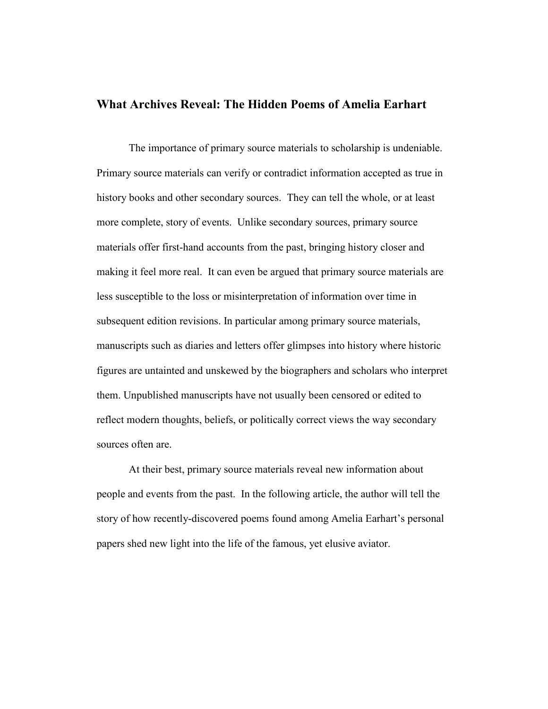## **What Archives Reveal: The Hidden Poems of Amelia Earhart**

The importance of primary source materials to scholarship is undeniable. Primary source materials can verify or contradict information accepted as true in history books and other secondary sources. They can tell the whole, or at least more complete, story of events. Unlike secondary sources, primary source materials offer first-hand accounts from the past, bringing history closer and making it feel more real. It can even be argued that primary source materials are less susceptible to the loss or misinterpretation of information over time in subsequent edition revisions. In particular among primary source materials, manuscripts such as diaries and letters offer glimpses into history where historic figures are untainted and unskewed by the biographers and scholars who interpret them. Unpublished manuscripts have not usually been censored or edited to reflect modern thoughts, beliefs, or politically correct views the way secondary sources often are.

 At their best, primary source materials reveal new information about people and events from the past. In the following article, the author will tell the story of how recently-discovered poems found among Amelia Earhart's personal papers shed new light into the life of the famous, yet elusive aviator.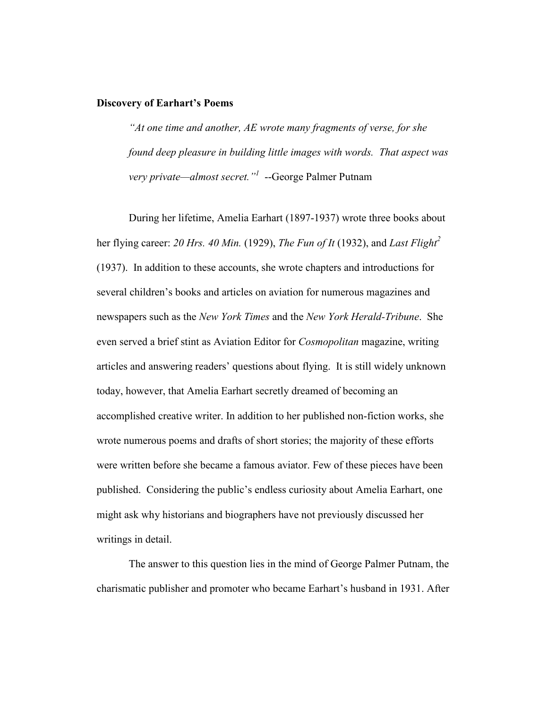## **Discovery of Earhart's Poems**

*"At one time and another, AE wrote many fragments of verse, for she found deep pleasure in building little images with words. That aspect was very private—almost secret."<sup>1</sup>* --George Palmer Putnam

During her lifetime, Amelia Earhart (1897-1937) wrote three books about her flying career: *20 Hrs. 40 Min.* (1929), *The Fun of It* (1932), and *Last Flight<sup>2</sup>* (1937). In addition to these accounts, she wrote chapters and introductions for several children's books and articles on aviation for numerous magazines and newspapers such as the *New York Times* and the *New York Herald-Tribune*. She even served a brief stint as Aviation Editor for *Cosmopolitan* magazine, writing articles and answering readers' questions about flying. It is still widely unknown today, however, that Amelia Earhart secretly dreamed of becoming an accomplished creative writer. In addition to her published non-fiction works, she wrote numerous poems and drafts of short stories; the majority of these efforts were written before she became a famous aviator. Few of these pieces have been published. Considering the public's endless curiosity about Amelia Earhart, one might ask why historians and biographers have not previously discussed her writings in detail.

The answer to this question lies in the mind of George Palmer Putnam, the charismatic publisher and promoter who became Earhart's husband in 1931. After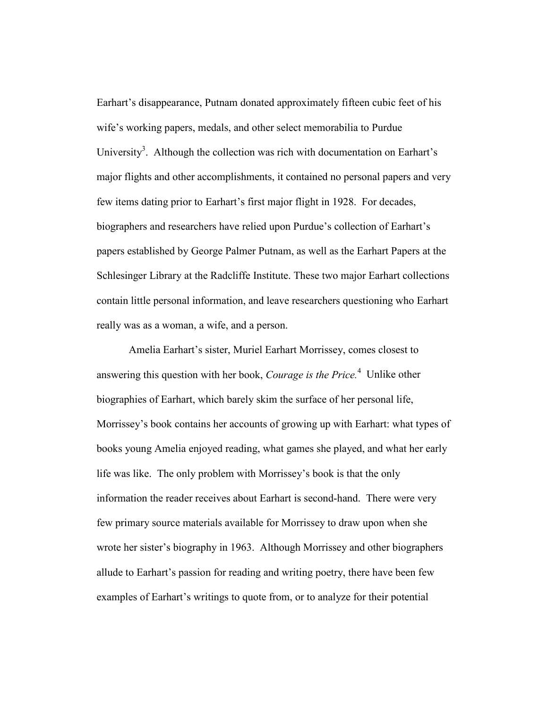Earhart's disappearance, Putnam donated approximately fifteen cubic feet of his wife's working papers, medals, and other select memorabilia to Purdue University<sup>3</sup>. Although the collection was rich with documentation on Earhart's major flights and other accomplishments, it contained no personal papers and very few items dating prior to Earhart's first major flight in 1928. For decades, biographers and researchers have relied upon Purdue's collection of Earhart's papers established by George Palmer Putnam, as well as the Earhart Papers at the Schlesinger Library at the Radcliffe Institute. These two major Earhart collections contain little personal information, and leave researchers questioning who Earhart really was as a woman, a wife, and a person.

 Amelia Earhart's sister, Muriel Earhart Morrissey, comes closest to answering this question with her book, *Courage is the Price.*<sup>4</sup> Unlike other biographies of Earhart, which barely skim the surface of her personal life, Morrissey's book contains her accounts of growing up with Earhart: what types of books young Amelia enjoyed reading, what games she played, and what her early life was like. The only problem with Morrissey's book is that the only information the reader receives about Earhart is second-hand. There were very few primary source materials available for Morrissey to draw upon when she wrote her sister's biography in 1963. Although Morrissey and other biographers allude to Earhart's passion for reading and writing poetry, there have been few examples of Earhart's writings to quote from, or to analyze for their potential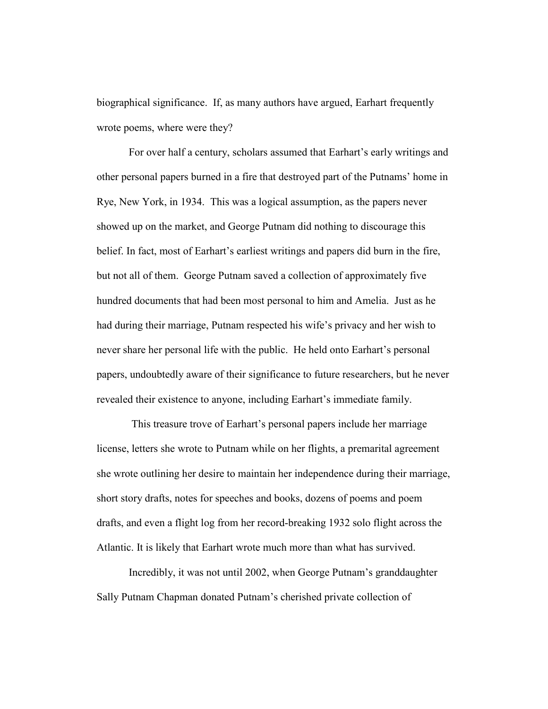biographical significance. If, as many authors have argued, Earhart frequently wrote poems, where were they?

For over half a century, scholars assumed that Earhart's early writings and other personal papers burned in a fire that destroyed part of the Putnams' home in Rye, New York, in 1934. This was a logical assumption, as the papers never showed up on the market, and George Putnam did nothing to discourage this belief. In fact, most of Earhart's earliest writings and papers did burn in the fire, but not all of them. George Putnam saved a collection of approximately five hundred documents that had been most personal to him and Amelia. Just as he had during their marriage, Putnam respected his wife's privacy and her wish to never share her personal life with the public. He held onto Earhart's personal papers, undoubtedly aware of their significance to future researchers, but he never revealed their existence to anyone, including Earhart's immediate family.

 This treasure trove of Earhart's personal papers include her marriage license, letters she wrote to Putnam while on her flights, a premarital agreement she wrote outlining her desire to maintain her independence during their marriage, short story drafts, notes for speeches and books, dozens of poems and poem drafts, and even a flight log from her record-breaking 1932 solo flight across the Atlantic. It is likely that Earhart wrote much more than what has survived.

Incredibly, it was not until 2002, when George Putnam's granddaughter Sally Putnam Chapman donated Putnam's cherished private collection of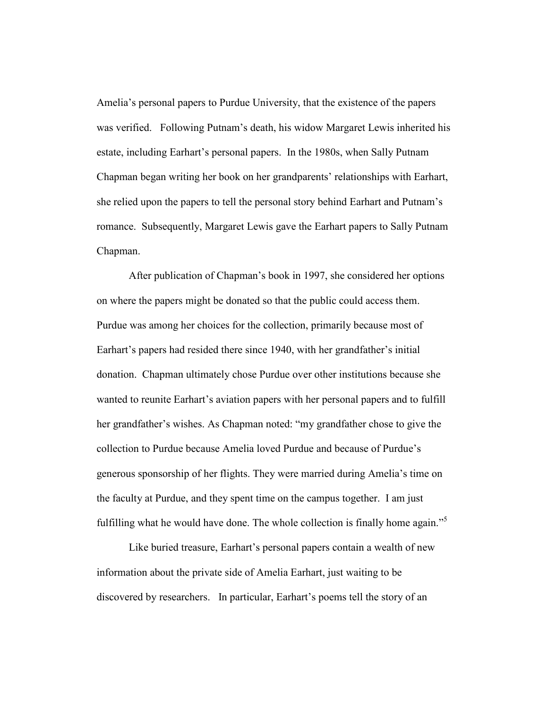Amelia's personal papers to Purdue University, that the existence of the papers was verified. Following Putnam's death, his widow Margaret Lewis inherited his estate, including Earhart's personal papers. In the 1980s, when Sally Putnam Chapman began writing her book on her grandparents' relationships with Earhart, she relied upon the papers to tell the personal story behind Earhart and Putnam's romance. Subsequently, Margaret Lewis gave the Earhart papers to Sally Putnam Chapman.

After publication of Chapman's book in 1997, she considered her options on where the papers might be donated so that the public could access them. Purdue was among her choices for the collection, primarily because most of Earhart's papers had resided there since 1940, with her grandfather's initial donation. Chapman ultimately chose Purdue over other institutions because she wanted to reunite Earhart's aviation papers with her personal papers and to fulfill her grandfather's wishes. As Chapman noted: "my grandfather chose to give the collection to Purdue because Amelia loved Purdue and because of Purdue's generous sponsorship of her flights. They were married during Amelia's time on the faculty at Purdue, and they spent time on the campus together. I am just fulfilling what he would have done. The whole collection is finally home again."<sup>5</sup>

Like buried treasure, Earhart's personal papers contain a wealth of new information about the private side of Amelia Earhart, just waiting to be discovered by researchers. In particular, Earhart's poems tell the story of an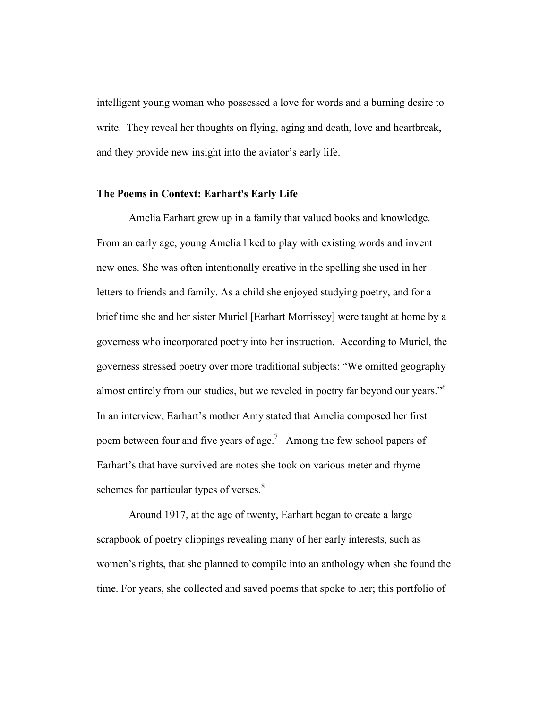intelligent young woman who possessed a love for words and a burning desire to write. They reveal her thoughts on flying, aging and death, love and heartbreak, and they provide new insight into the aviator's early life.

#### **The Poems in Context: Earhart's Early Life**

Amelia Earhart grew up in a family that valued books and knowledge. From an early age, young Amelia liked to play with existing words and invent new ones. She was often intentionally creative in the spelling she used in her letters to friends and family. As a child she enjoyed studying poetry, and for a brief time she and her sister Muriel [Earhart Morrissey] were taught at home by a governess who incorporated poetry into her instruction. According to Muriel, the governess stressed poetry over more traditional subjects: "We omitted geography almost entirely from our studies, but we reveled in poetry far beyond our years."<sup>6</sup> In an interview, Earhart's mother Amy stated that Amelia composed her first poem between four and five years of age.<sup>7</sup> Among the few school papers of Earhart's that have survived are notes she took on various meter and rhyme schemes for particular types of verses.<sup>8</sup>

Around 1917, at the age of twenty, Earhart began to create a large scrapbook of poetry clippings revealing many of her early interests, such as women's rights, that she planned to compile into an anthology when she found the time. For years, she collected and saved poems that spoke to her; this portfolio of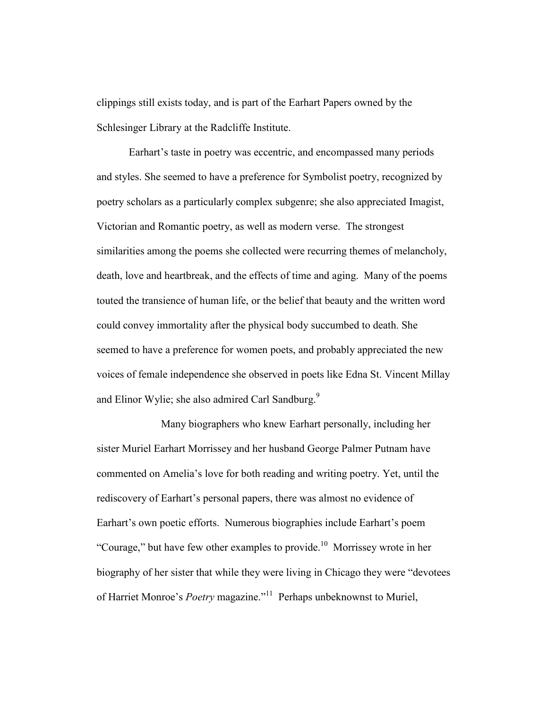clippings still exists today, and is part of the Earhart Papers owned by the Schlesinger Library at the Radcliffe Institute.

Earhart's taste in poetry was eccentric, and encompassed many periods and styles. She seemed to have a preference for Symbolist poetry, recognized by poetry scholars as a particularly complex subgenre; she also appreciated Imagist, Victorian and Romantic poetry, as well as modern verse. The strongest similarities among the poems she collected were recurring themes of melancholy, death, love and heartbreak, and the effects of time and aging. Many of the poems touted the transience of human life, or the belief that beauty and the written word could convey immortality after the physical body succumbed to death. She seemed to have a preference for women poets, and probably appreciated the new voices of female independence she observed in poets like Edna St. Vincent Millay and Elinor Wylie; she also admired Carl Sandburg.<sup>9</sup>

Many biographers who knew Earhart personally, including her sister Muriel Earhart Morrissey and her husband George Palmer Putnam have commented on Amelia's love for both reading and writing poetry. Yet, until the rediscovery of Earhart's personal papers, there was almost no evidence of Earhart's own poetic efforts. Numerous biographies include Earhart's poem "Courage," but have few other examples to provide.<sup>10</sup> Morrissey wrote in her biography of her sister that while they were living in Chicago they were "devotees of Harriet Monroe's *Poetry* magazine."<sup>11</sup> Perhaps unbeknownst to Muriel,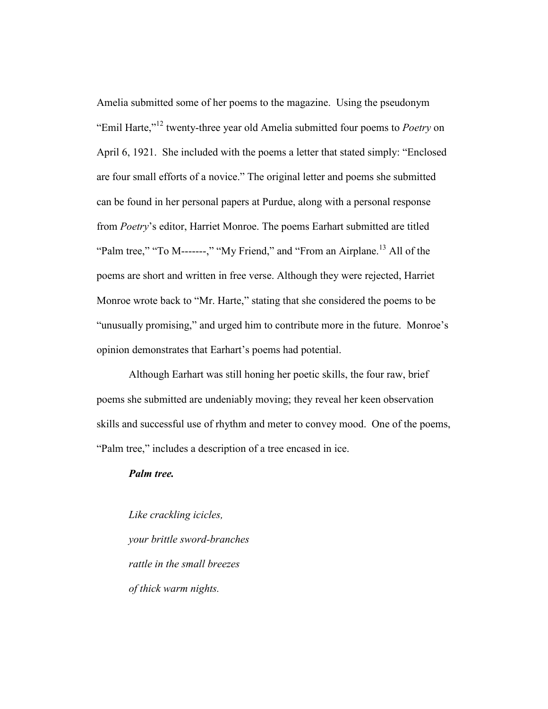Amelia submitted some of her poems to the magazine. Using the pseudonym "Emil Harte,"12 twenty-three year old Amelia submitted four poems to *Poetry* on April 6, 1921. She included with the poems a letter that stated simply: "Enclosed are four small efforts of a novice." The original letter and poems she submitted can be found in her personal papers at Purdue, along with a personal response from *Poetry*'s editor, Harriet Monroe. The poems Earhart submitted are titled "Palm tree," "To M-------," "My Friend," and "From an Airplane.<sup>13</sup> All of the poems are short and written in free verse. Although they were rejected, Harriet Monroe wrote back to "Mr. Harte," stating that she considered the poems to be "unusually promising," and urged him to contribute more in the future. Monroe's opinion demonstrates that Earhart's poems had potential.

Although Earhart was still honing her poetic skills, the four raw, brief poems she submitted are undeniably moving; they reveal her keen observation skills and successful use of rhythm and meter to convey mood. One of the poems, "Palm tree," includes a description of a tree encased in ice.

## *Palm tree.*

*Like crackling icicles, your brittle sword-branches rattle in the small breezes of thick warm nights.*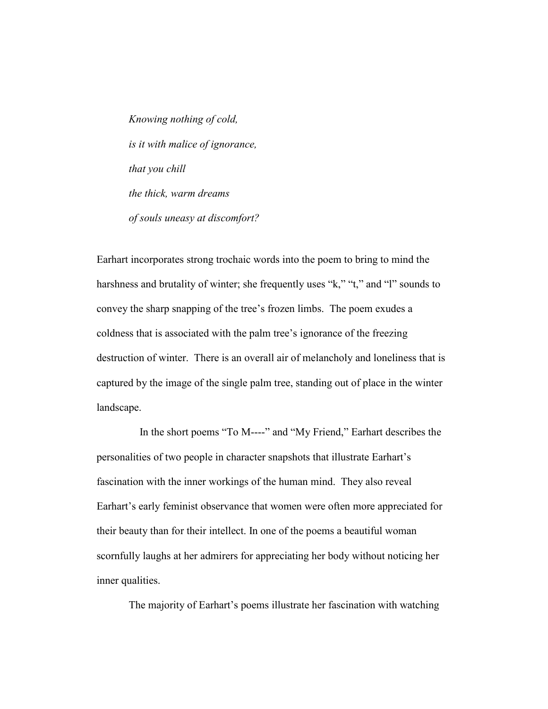*Knowing nothing of cold, is it with malice of ignorance, that you chill the thick, warm dreams of souls uneasy at discomfort?* 

Earhart incorporates strong trochaic words into the poem to bring to mind the harshness and brutality of winter; she frequently uses "k," "t," and "l" sounds to convey the sharp snapping of the tree's frozen limbs. The poem exudes a coldness that is associated with the palm tree's ignorance of the freezing destruction of winter. There is an overall air of melancholy and loneliness that is captured by the image of the single palm tree, standing out of place in the winter landscape.

 In the short poems "To M----" and "My Friend," Earhart describes the personalities of two people in character snapshots that illustrate Earhart's fascination with the inner workings of the human mind. They also reveal Earhart's early feminist observance that women were often more appreciated for their beauty than for their intellect. In one of the poems a beautiful woman scornfully laughs at her admirers for appreciating her body without noticing her inner qualities.

The majority of Earhart's poems illustrate her fascination with watching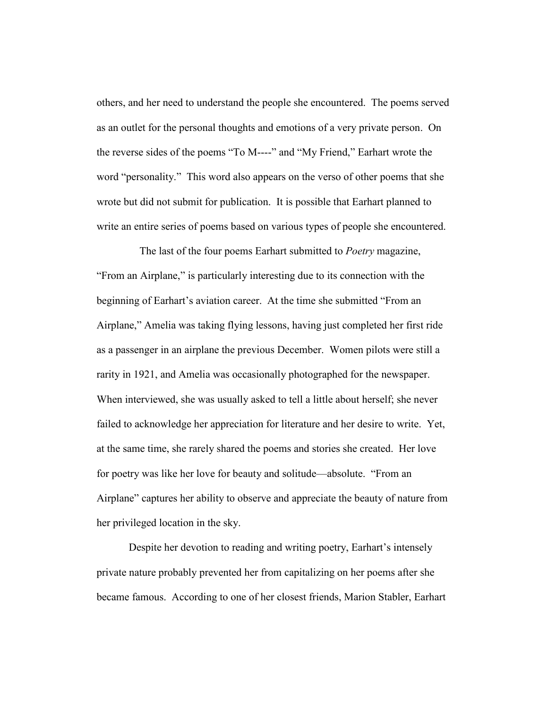others, and her need to understand the people she encountered. The poems served as an outlet for the personal thoughts and emotions of a very private person. On the reverse sides of the poems "To M----" and "My Friend," Earhart wrote the word "personality." This word also appears on the verso of other poems that she wrote but did not submit for publication. It is possible that Earhart planned to write an entire series of poems based on various types of people she encountered.

The last of the four poems Earhart submitted to *Poetry* magazine, "From an Airplane," is particularly interesting due to its connection with the beginning of Earhart's aviation career. At the time she submitted "From an Airplane," Amelia was taking flying lessons, having just completed her first ride as a passenger in an airplane the previous December. Women pilots were still a rarity in 1921, and Amelia was occasionally photographed for the newspaper. When interviewed, she was usually asked to tell a little about herself; she never failed to acknowledge her appreciation for literature and her desire to write. Yet, at the same time, she rarely shared the poems and stories she created. Her love for poetry was like her love for beauty and solitude—absolute. "From an Airplane" captures her ability to observe and appreciate the beauty of nature from her privileged location in the sky.

Despite her devotion to reading and writing poetry, Earhart's intensely private nature probably prevented her from capitalizing on her poems after she became famous. According to one of her closest friends, Marion Stabler, Earhart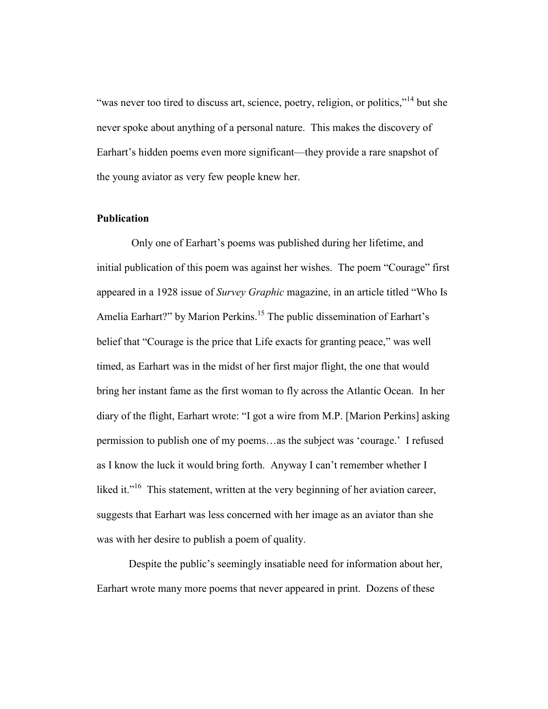"was never too tired to discuss art, science, poetry, religion, or politics,"<sup>14</sup> but she never spoke about anything of a personal nature. This makes the discovery of Earhart's hidden poems even more significant—they provide a rare snapshot of the young aviator as very few people knew her.

#### **Publication**

 Only one of Earhart's poems was published during her lifetime, and initial publication of this poem was against her wishes. The poem "Courage" first appeared in a 1928 issue of *Survey Graphic* magazine, in an article titled "Who Is Amelia Earhart?" by Marion Perkins.<sup>15</sup> The public dissemination of Earhart's belief that "Courage is the price that Life exacts for granting peace," was well timed, as Earhart was in the midst of her first major flight, the one that would bring her instant fame as the first woman to fly across the Atlantic Ocean. In her diary of the flight, Earhart wrote: "I got a wire from M.P. [Marion Perkins] asking permission to publish one of my poems…as the subject was 'courage.' I refused as I know the luck it would bring forth. Anyway I can't remember whether I liked it."<sup>16</sup> This statement, written at the very beginning of her aviation career, suggests that Earhart was less concerned with her image as an aviator than she was with her desire to publish a poem of quality.

Despite the public's seemingly insatiable need for information about her, Earhart wrote many more poems that never appeared in print. Dozens of these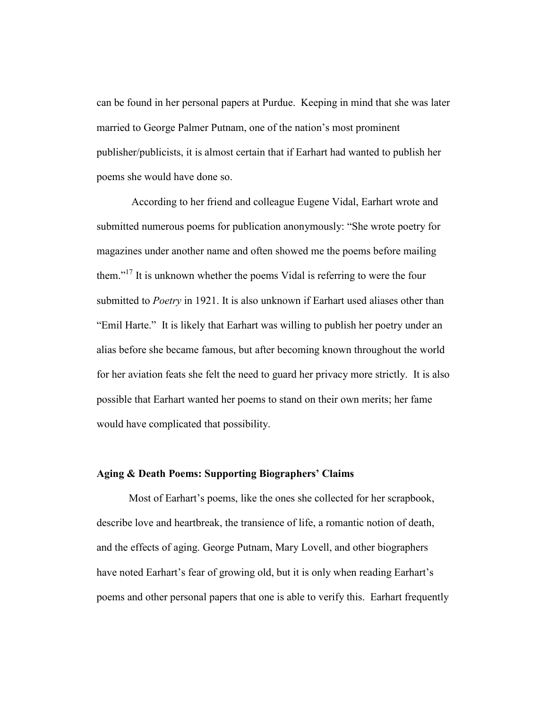can be found in her personal papers at Purdue. Keeping in mind that she was later married to George Palmer Putnam, one of the nation's most prominent publisher/publicists, it is almost certain that if Earhart had wanted to publish her poems she would have done so.

 According to her friend and colleague Eugene Vidal, Earhart wrote and submitted numerous poems for publication anonymously: "She wrote poetry for magazines under another name and often showed me the poems before mailing them."<sup>17</sup> It is unknown whether the poems Vidal is referring to were the four submitted to *Poetry* in 1921. It is also unknown if Earhart used aliases other than "Emil Harte." It is likely that Earhart was willing to publish her poetry under an alias before she became famous, but after becoming known throughout the world for her aviation feats she felt the need to guard her privacy more strictly. It is also possible that Earhart wanted her poems to stand on their own merits; her fame would have complicated that possibility.

## **Aging & Death Poems: Supporting Biographers' Claims**

Most of Earhart's poems, like the ones she collected for her scrapbook, describe love and heartbreak, the transience of life, a romantic notion of death, and the effects of aging. George Putnam, Mary Lovell, and other biographers have noted Earhart's fear of growing old, but it is only when reading Earhart's poems and other personal papers that one is able to verify this. Earhart frequently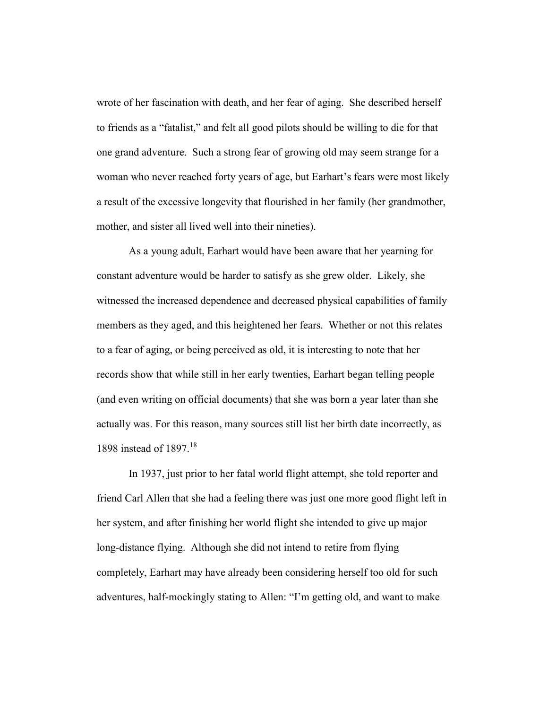wrote of her fascination with death, and her fear of aging. She described herself to friends as a "fatalist," and felt all good pilots should be willing to die for that one grand adventure. Such a strong fear of growing old may seem strange for a woman who never reached forty years of age, but Earhart's fears were most likely a result of the excessive longevity that flourished in her family (her grandmother, mother, and sister all lived well into their nineties).

As a young adult, Earhart would have been aware that her yearning for constant adventure would be harder to satisfy as she grew older. Likely, she witnessed the increased dependence and decreased physical capabilities of family members as they aged, and this heightened her fears. Whether or not this relates to a fear of aging, or being perceived as old, it is interesting to note that her records show that while still in her early twenties, Earhart began telling people (and even writing on official documents) that she was born a year later than she actually was. For this reason, many sources still list her birth date incorrectly, as 1898 instead of 1897.<sup>18</sup>

In 1937, just prior to her fatal world flight attempt, she told reporter and friend Carl Allen that she had a feeling there was just one more good flight left in her system, and after finishing her world flight she intended to give up major long-distance flying. Although she did not intend to retire from flying completely, Earhart may have already been considering herself too old for such adventures, half-mockingly stating to Allen: "I'm getting old, and want to make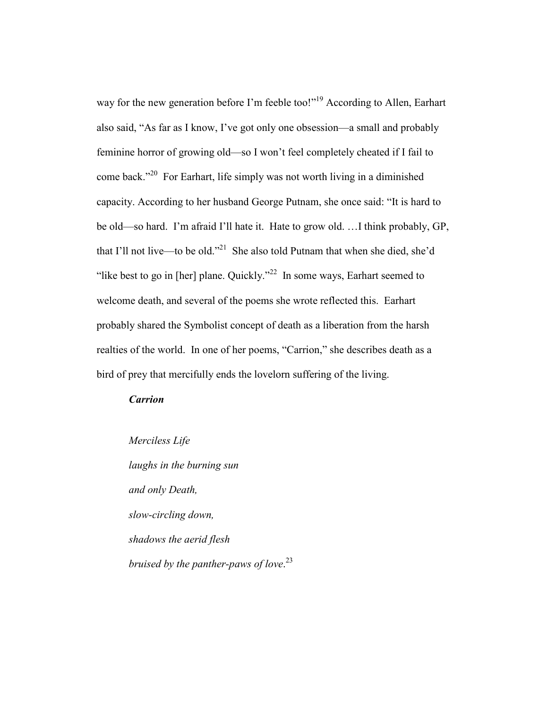way for the new generation before I'm feeble too!"<sup>19</sup> According to Allen, Earhart also said, "As far as I know, I've got only one obsession—a small and probably feminine horror of growing old—so I won't feel completely cheated if I fail to come back."<sup>20</sup> For Earhart, life simply was not worth living in a diminished capacity. According to her husband George Putnam, she once said: "It is hard to be old—so hard. I'm afraid I'll hate it. Hate to grow old. …I think probably, GP, that I'll not live—to be old."21 She also told Putnam that when she died, she'd "like best to go in [her] plane. Quickly."<sup>22</sup> In some ways, Earhart seemed to welcome death, and several of the poems she wrote reflected this. Earhart probably shared the Symbolist concept of death as a liberation from the harsh realties of the world. In one of her poems, "Carrion," she describes death as a bird of prey that mercifully ends the lovelorn suffering of the living.

## *Carrion*

*Merciless Life laughs in the burning sun and only Death, slow-circling down, shadows the aerid flesh bruised by the panther-paws of love*. 23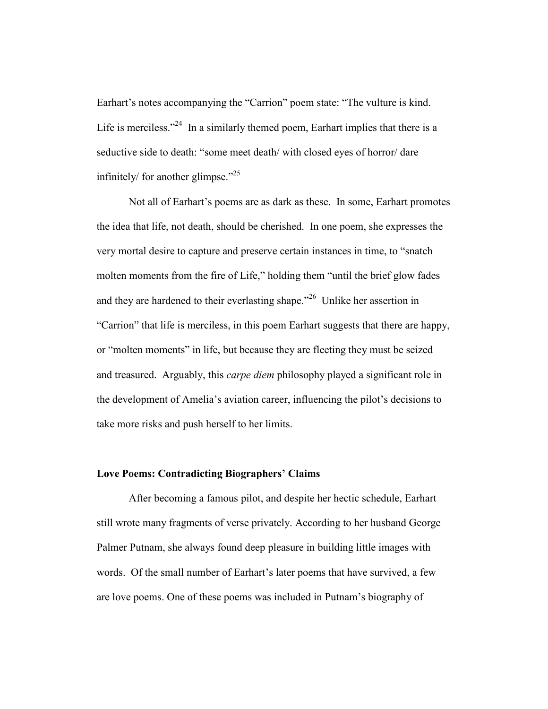Earhart's notes accompanying the "Carrion" poem state: "The vulture is kind. Life is merciless."<sup>24</sup> In a similarly themed poem, Earhart implies that there is a seductive side to death: "some meet death/ with closed eyes of horror/ dare infinitely/ for another glimpse. $125$ 

Not all of Earhart's poems are as dark as these. In some, Earhart promotes the idea that life, not death, should be cherished. In one poem, she expresses the very mortal desire to capture and preserve certain instances in time, to "snatch molten moments from the fire of Life," holding them "until the brief glow fades and they are hardened to their everlasting shape."<sup>26</sup> Unlike her assertion in "Carrion" that life is merciless, in this poem Earhart suggests that there are happy, or "molten moments" in life, but because they are fleeting they must be seized and treasured. Arguably, this *carpe diem* philosophy played a significant role in the development of Amelia's aviation career, influencing the pilot's decisions to take more risks and push herself to her limits.

## **Love Poems: Contradicting Biographers' Claims**

After becoming a famous pilot, and despite her hectic schedule, Earhart still wrote many fragments of verse privately. According to her husband George Palmer Putnam, she always found deep pleasure in building little images with words. Of the small number of Earhart's later poems that have survived, a few are love poems. One of these poems was included in Putnam's biography of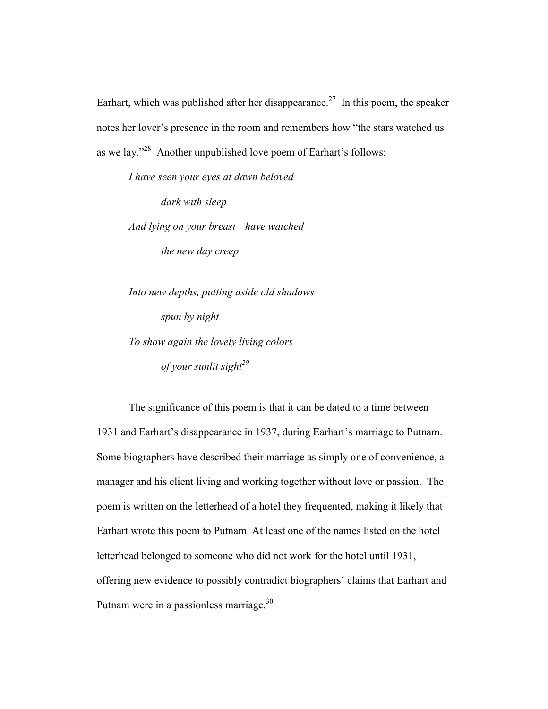Earhart, which was published after her disappearance.<sup>27</sup> In this poem, the speaker notes her lover's presence in the room and remembers how "the stars watched us as we lay."<sup>28</sup> Another unpublished love poem of Earhart's follows:

*I have seen your eyes at dawn beloved dark with sleep And lying on your breast—have watched the new day creep* 

*Into new depths, putting aside old shadows spun by night To show again the lovely living colors of* your sunlit sight<sup>29</sup>

The significance of this poem is that it can be dated to a time between 1931 and Earhart's disappearance in 1937, during Earhart's marriage to Putnam. Some biographers have described their marriage as simply one of convenience, a manager and his client living and working together without love or passion. The poem is written on the letterhead of a hotel they frequented, making it likely that Earhart wrote this poem to Putnam. At least one of the names listed on the hotel letterhead belonged to someone who did not work for the hotel until 1931, offering new evidence to possibly contradict biographers' claims that Earhart and Putnam were in a passionless marriage.<sup>30</sup>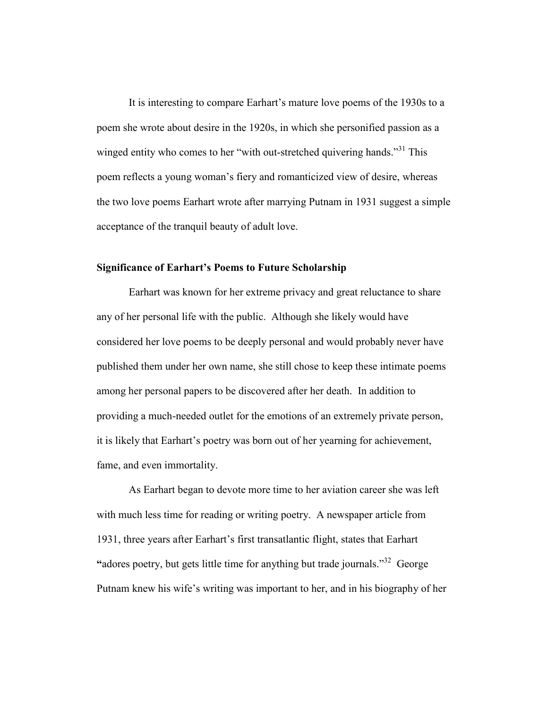It is interesting to compare Earhart's mature love poems of the 1930s to a poem she wrote about desire in the 1920s, in which she personified passion as a winged entity who comes to her "with out-stretched quivering hands."<sup>31</sup> This poem reflects a young woman's fiery and romanticized view of desire, whereas the two love poems Earhart wrote after marrying Putnam in 1931 suggest a simple acceptance of the tranquil beauty of adult love.

#### **Significance of Earhart's Poems to Future Scholarship**

Earhart was known for her extreme privacy and great reluctance to share any of her personal life with the public. Although she likely would have considered her love poems to be deeply personal and would probably never have published them under her own name, she still chose to keep these intimate poems among her personal papers to be discovered after her death. In addition to providing a much-needed outlet for the emotions of an extremely private person, it is likely that Earhart's poetry was born out of her yearning for achievement, fame, and even immortality.

As Earhart began to devote more time to her aviation career she was left with much less time for reading or writing poetry. A newspaper article from 1931, three years after Earhart's first transatlantic flight, states that Earhart **"**adores poetry, but gets little time for anything but trade journals."<sup>32</sup> George Putnam knew his wife's writing was important to her, and in his biography of her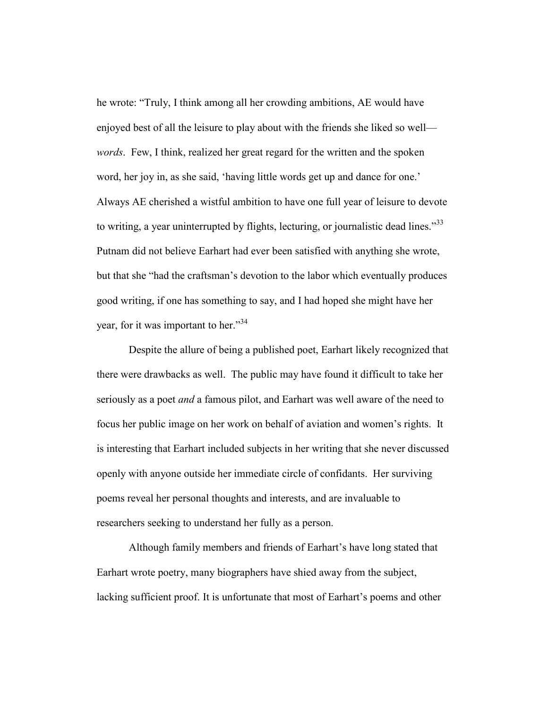he wrote: "Truly, I think among all her crowding ambitions, AE would have enjoyed best of all the leisure to play about with the friends she liked so well *words*. Few, I think, realized her great regard for the written and the spoken word, her joy in, as she said, 'having little words get up and dance for one.' Always AE cherished a wistful ambition to have one full year of leisure to devote to writing, a year uninterrupted by flights, lecturing, or journalistic dead lines.<sup>33</sup> Putnam did not believe Earhart had ever been satisfied with anything she wrote, but that she "had the craftsman's devotion to the labor which eventually produces good writing, if one has something to say, and I had hoped she might have her year, for it was important to her."<sup>34</sup>

Despite the allure of being a published poet, Earhart likely recognized that there were drawbacks as well. The public may have found it difficult to take her seriously as a poet *and* a famous pilot, and Earhart was well aware of the need to focus her public image on her work on behalf of aviation and women's rights. It is interesting that Earhart included subjects in her writing that she never discussed openly with anyone outside her immediate circle of confidants. Her surviving poems reveal her personal thoughts and interests, and are invaluable to researchers seeking to understand her fully as a person.

Although family members and friends of Earhart's have long stated that Earhart wrote poetry, many biographers have shied away from the subject, lacking sufficient proof. It is unfortunate that most of Earhart's poems and other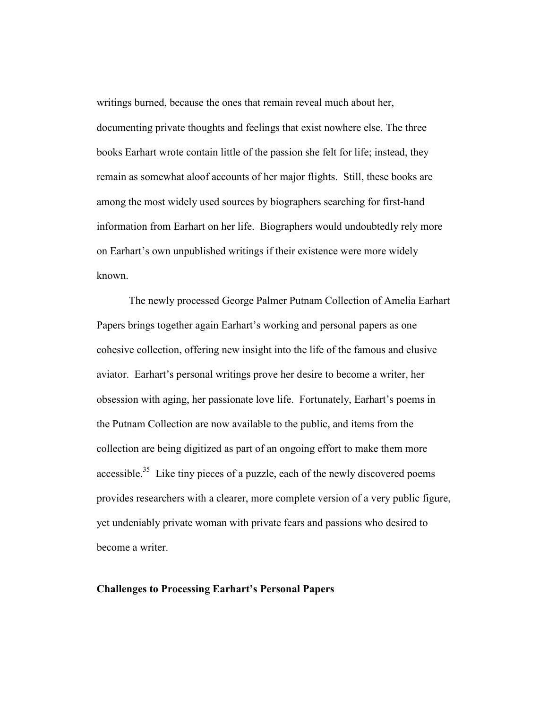writings burned, because the ones that remain reveal much about her, documenting private thoughts and feelings that exist nowhere else. The three books Earhart wrote contain little of the passion she felt for life; instead, they remain as somewhat aloof accounts of her major flights. Still, these books are among the most widely used sources by biographers searching for first-hand information from Earhart on her life. Biographers would undoubtedly rely more on Earhart's own unpublished writings if their existence were more widely known.

The newly processed George Palmer Putnam Collection of Amelia Earhart Papers brings together again Earhart's working and personal papers as one cohesive collection, offering new insight into the life of the famous and elusive aviator. Earhart's personal writings prove her desire to become a writer, her obsession with aging, her passionate love life. Fortunately, Earhart's poems in the Putnam Collection are now available to the public, and items from the collection are being digitized as part of an ongoing effort to make them more accessible.<sup>35</sup> Like tiny pieces of a puzzle, each of the newly discovered poems provides researchers with a clearer, more complete version of a very public figure, yet undeniably private woman with private fears and passions who desired to become a writer.

#### **Challenges to Processing Earhart's Personal Papers**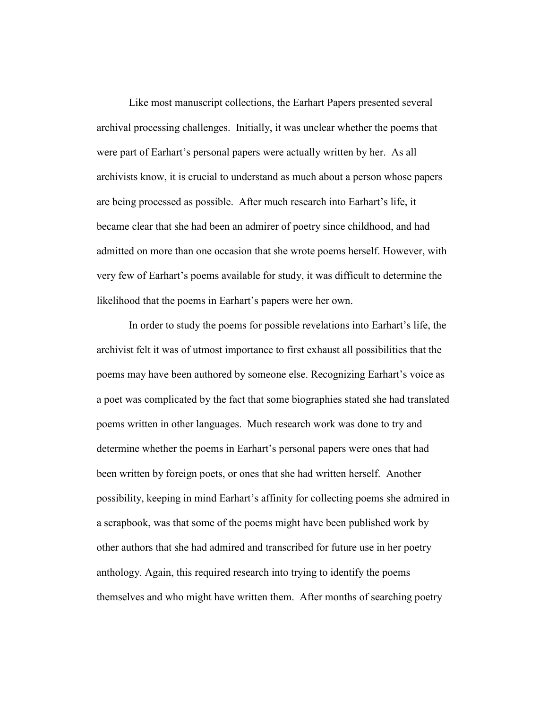Like most manuscript collections, the Earhart Papers presented several archival processing challenges. Initially, it was unclear whether the poems that were part of Earhart's personal papers were actually written by her. As all archivists know, it is crucial to understand as much about a person whose papers are being processed as possible. After much research into Earhart's life, it became clear that she had been an admirer of poetry since childhood, and had admitted on more than one occasion that she wrote poems herself. However, with very few of Earhart's poems available for study, it was difficult to determine the likelihood that the poems in Earhart's papers were her own.

In order to study the poems for possible revelations into Earhart's life, the archivist felt it was of utmost importance to first exhaust all possibilities that the poems may have been authored by someone else. Recognizing Earhart's voice as a poet was complicated by the fact that some biographies stated she had translated poems written in other languages. Much research work was done to try and determine whether the poems in Earhart's personal papers were ones that had been written by foreign poets, or ones that she had written herself. Another possibility, keeping in mind Earhart's affinity for collecting poems she admired in a scrapbook, was that some of the poems might have been published work by other authors that she had admired and transcribed for future use in her poetry anthology. Again, this required research into trying to identify the poems themselves and who might have written them. After months of searching poetry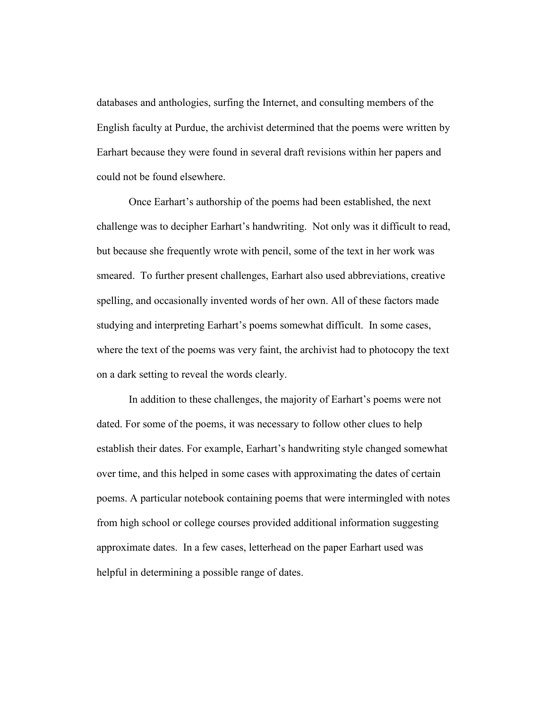databases and anthologies, surfing the Internet, and consulting members of the English faculty at Purdue, the archivist determined that the poems were written by Earhart because they were found in several draft revisions within her papers and could not be found elsewhere.

 Once Earhart's authorship of the poems had been established, the next challenge was to decipher Earhart's handwriting. Not only was it difficult to read, but because she frequently wrote with pencil, some of the text in her work was smeared. To further present challenges, Earhart also used abbreviations, creative spelling, and occasionally invented words of her own. All of these factors made studying and interpreting Earhart's poems somewhat difficult. In some cases, where the text of the poems was very faint, the archivist had to photocopy the text on a dark setting to reveal the words clearly.

 In addition to these challenges, the majority of Earhart's poems were not dated. For some of the poems, it was necessary to follow other clues to help establish their dates. For example, Earhart's handwriting style changed somewhat over time, and this helped in some cases with approximating the dates of certain poems. A particular notebook containing poems that were intermingled with notes from high school or college courses provided additional information suggesting approximate dates. In a few cases, letterhead on the paper Earhart used was helpful in determining a possible range of dates.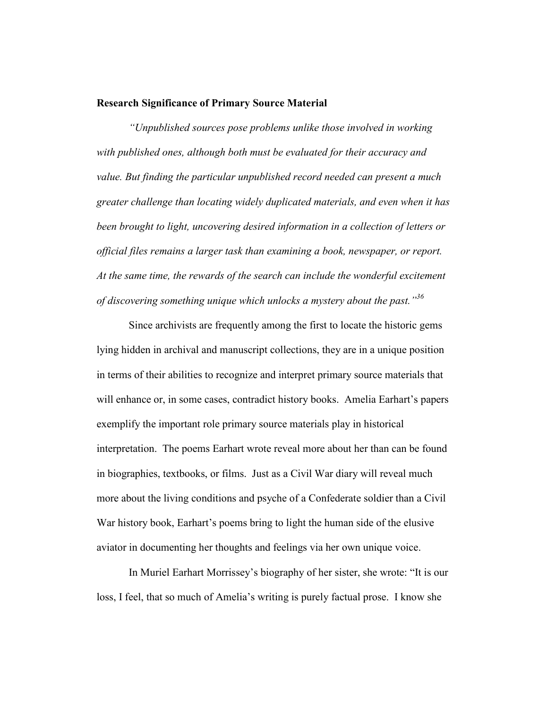## **Research Significance of Primary Source Material**

*"Unpublished sources pose problems unlike those involved in working with published ones, although both must be evaluated for their accuracy and value. But finding the particular unpublished record needed can present a much greater challenge than locating widely duplicated materials, and even when it has been brought to light, uncovering desired information in a collection of letters or official files remains a larger task than examining a book, newspaper, or report. At the same time, the rewards of the search can include the wonderful excitement of discovering something unique which unlocks a mystery about the past."<sup>36</sup>*

Since archivists are frequently among the first to locate the historic gems lying hidden in archival and manuscript collections, they are in a unique position in terms of their abilities to recognize and interpret primary source materials that will enhance or, in some cases, contradict history books. Amelia Earhart's papers exemplify the important role primary source materials play in historical interpretation. The poems Earhart wrote reveal more about her than can be found in biographies, textbooks, or films. Just as a Civil War diary will reveal much more about the living conditions and psyche of a Confederate soldier than a Civil War history book, Earhart's poems bring to light the human side of the elusive aviator in documenting her thoughts and feelings via her own unique voice.

In Muriel Earhart Morrissey's biography of her sister, she wrote: "It is our loss, I feel, that so much of Amelia's writing is purely factual prose. I know she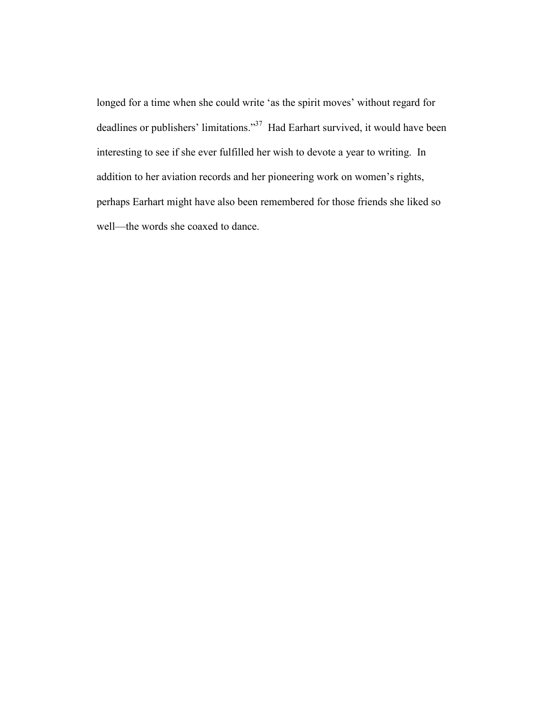longed for a time when she could write 'as the spirit moves' without regard for deadlines or publishers' limitations."<sup>37</sup> Had Earhart survived, it would have been interesting to see if she ever fulfilled her wish to devote a year to writing. In addition to her aviation records and her pioneering work on women's rights, perhaps Earhart might have also been remembered for those friends she liked so well—the words she coaxed to dance.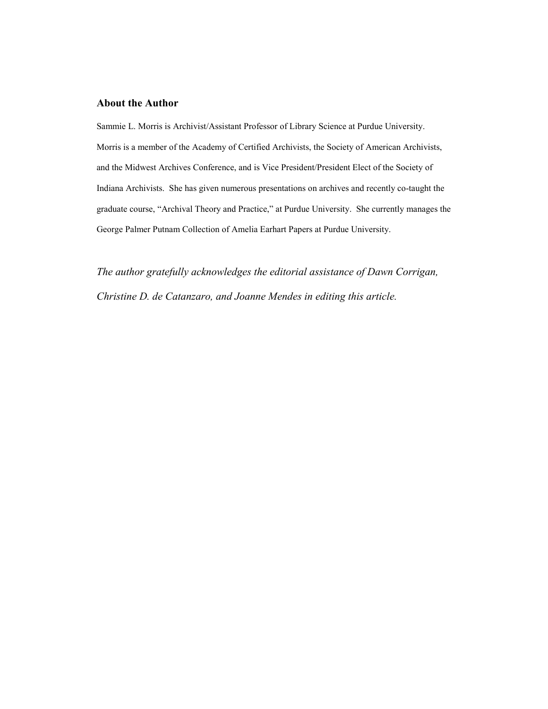#### **About the Author**

Sammie L. Morris is Archivist/Assistant Professor of Library Science at Purdue University. Morris is a member of the Academy of Certified Archivists, the Society of American Archivists, and the Midwest Archives Conference, and is Vice President/President Elect of the Society of Indiana Archivists. She has given numerous presentations on archives and recently co-taught the graduate course, "Archival Theory and Practice," at Purdue University. She currently manages the George Palmer Putnam Collection of Amelia Earhart Papers at Purdue University.

*The author gratefully acknowledges the editorial assistance of Dawn Corrigan, Christine D. de Catanzaro, and Joanne Mendes in editing this article.*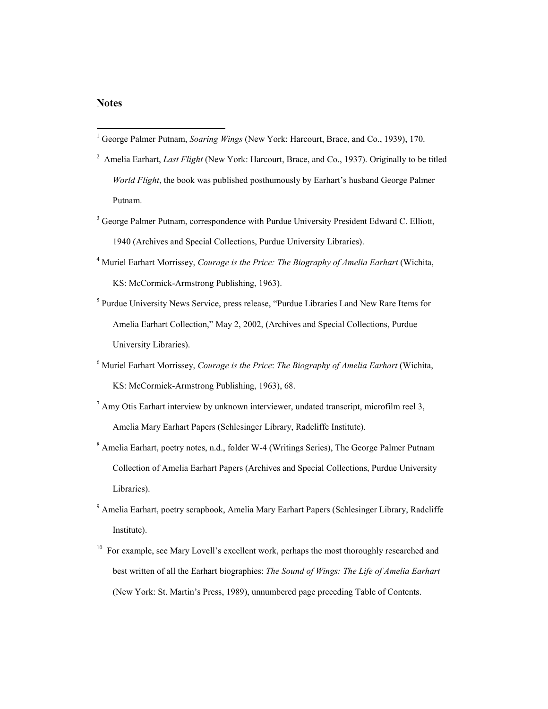#### **Notes**

- <sup>2</sup> Amelia Earhart, *Last Flight* (New York: Harcourt, Brace, and Co., 1937). Originally to be titled *World Flight*, the book was published posthumously by Earhart's husband George Palmer Putnam.
- <sup>3</sup> George Palmer Putnam, correspondence with Purdue University President Edward C. Elliott, 1940 (Archives and Special Collections, Purdue University Libraries).
- <sup>4</sup> Muriel Earhart Morrissey, *Courage is the Price: The Biography of Amelia Earhart* (Wichita, KS: McCormick-Armstrong Publishing, 1963).
- <sup>5</sup> Purdue University News Service, press release, "Purdue Libraries Land New Rare Items for Amelia Earhart Collection," May 2, 2002, (Archives and Special Collections, Purdue University Libraries).
- <sup>6</sup> Muriel Earhart Morrissey, *Courage is the Price*: *The Biography of Amelia Earhart* (Wichita, KS: McCormick-Armstrong Publishing, 1963), 68.
- $^7$  Amy Otis Earhart interview by unknown interviewer, undated transcript, microfilm reel 3, Amelia Mary Earhart Papers (Schlesinger Library, Radcliffe Institute).
- <sup>8</sup> Amelia Earhart, poetry notes, n.d., folder W-4 (Writings Series), The George Palmer Putnam Collection of Amelia Earhart Papers (Archives and Special Collections, Purdue University Libraries).
- <sup>9</sup> Amelia Earhart, poetry scrapbook, Amelia Mary Earhart Papers (Schlesinger Library, Radcliffe Institute).
- <sup>10</sup> For example, see Mary Lovell's excellent work, perhaps the most thoroughly researched and best written of all the Earhart biographies: *The Sound of Wings: The Life of Amelia Earhart*  (New York: St. Martin's Press, 1989), unnumbered page preceding Table of Contents.

<sup>1</sup> George Palmer Putnam, *Soaring Wings* (New York: Harcourt, Brace, and Co., 1939), 170.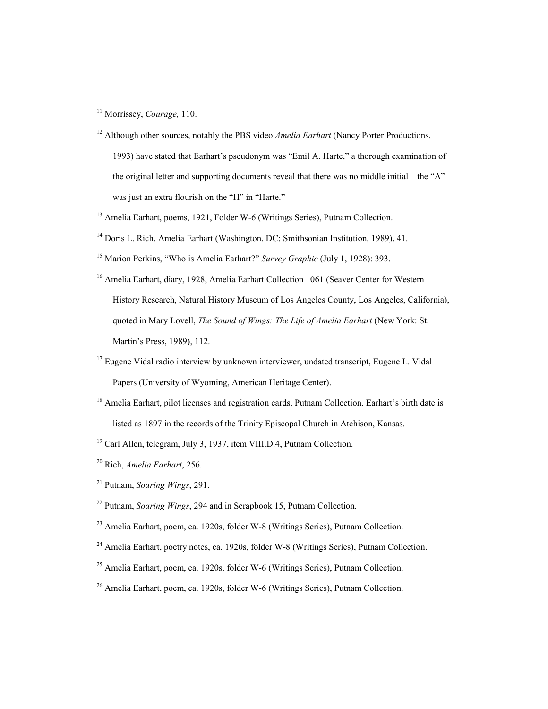<sup>11</sup> Morrissey, *Courage,* 110.

- <sup>12</sup> Although other sources, notably the PBS video *Amelia Earhart* (Nancy Porter Productions, 1993) have stated that Earhart's pseudonym was "Emil A. Harte," a thorough examination of the original letter and supporting documents reveal that there was no middle initial—the "A" was just an extra flourish on the "H" in "Harte."
- <sup>13</sup> Amelia Earhart, poems, 1921, Folder W-6 (Writings Series), Putnam Collection.
- <sup>14</sup> Doris L. Rich, Amelia Earhart (Washington, DC: Smithsonian Institution, 1989), 41.
- <sup>15</sup> Marion Perkins, "Who is Amelia Earhart?" *Survey Graphic* (July 1, 1928): 393.
- <sup>16</sup> Amelia Earhart, diary, 1928, Amelia Earhart Collection 1061 (Seaver Center for Western History Research, Natural History Museum of Los Angeles County, Los Angeles, California), quoted in Mary Lovell, *The Sound of Wings: The Life of Amelia Earhart* (New York: St. Martin's Press, 1989), 112.
- $17$  Eugene Vidal radio interview by unknown interviewer, undated transcript, Eugene L. Vidal Papers (University of Wyoming, American Heritage Center).
- <sup>18</sup> Amelia Earhart, pilot licenses and registration cards, Putnam Collection. Earhart's birth date is listed as 1897 in the records of the Trinity Episcopal Church in Atchison, Kansas.
- 19 Carl Allen, telegram, July 3, 1937, item VIII.D.4, Putnam Collection.
- 20 Rich, *Amelia Earhart*, 256.
- 21 Putnam, *Soaring Wings*, 291.
- 22 Putnam, *Soaring Wings*, 294 and in Scrapbook 15, Putnam Collection.
- 23 Amelia Earhart, poem, ca. 1920s, folder W-8 (Writings Series), Putnam Collection.
- <sup>24</sup> Amelia Earhart, poetry notes, ca. 1920s, folder W-8 (Writings Series), Putnam Collection.
- $25$  Amelia Earhart, poem, ca. 1920s, folder W-6 (Writings Series), Putnam Collection.
- 26 Amelia Earhart, poem, ca. 1920s, folder W-6 (Writings Series), Putnam Collection.